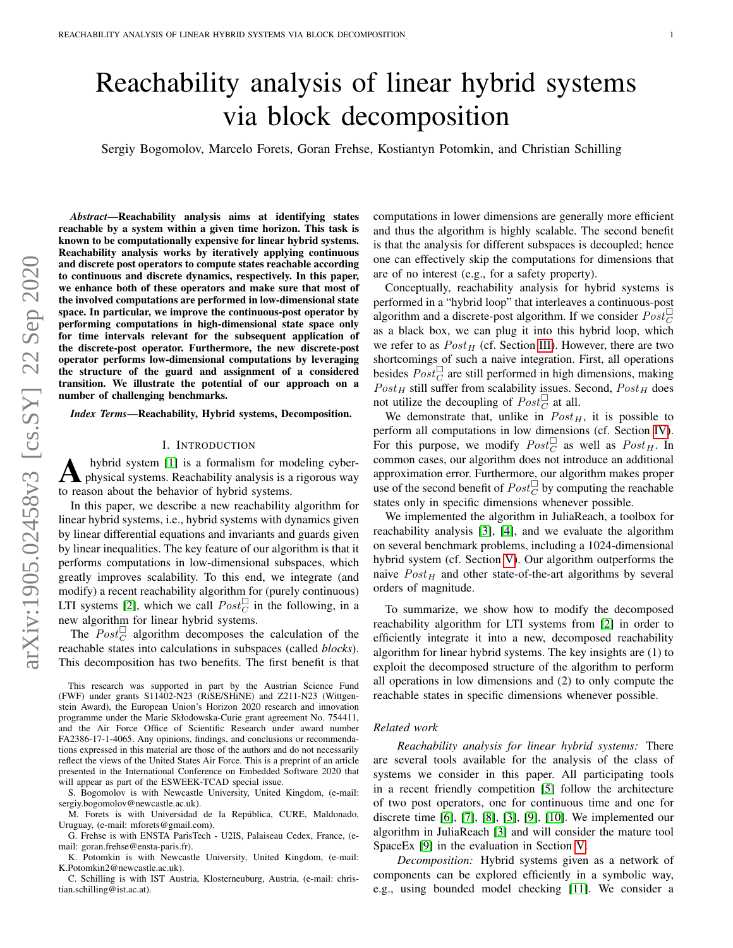# Reachability analysis of linear hybrid systems via block decomposition

Sergiy Bogomolov, Marcelo Forets, Goran Frehse, Kostiantyn Potomkin, and Christian Schilling

*Abstract*—Reachability analysis aims at identifying states reachable by a system within a given time horizon. This task is known to be computationally expensive for linear hybrid systems. Reachability analysis works by iteratively applying continuous and discrete post operators to compute states reachable according to continuous and discrete dynamics, respectively. In this paper, we enhance both of these operators and make sure that most of the involved computations are performed in low-dimensional state space. In particular, we improve the continuous-post operator by performing computations in high-dimensional state space only for time intervals relevant for the subsequent application of the discrete-post operator. Furthermore, the new discrete-post operator performs low-dimensional computations by leveraging the structure of the guard and assignment of a considered transition. We illustrate the potential of our approach on a number of challenging benchmarks.

*Index Terms*—Reachability, Hybrid systems, Decomposition.

## I. INTRODUCTION

A hybrid system [1] is a formalism for modeling cyber-<br>physical systems. Reachability analysis is a rigorous way hybrid system [\[1\]](#page-10-0) is a formalism for modeling cyberto reason about the behavior of hybrid systems.

In this paper, we describe a new reachability algorithm for linear hybrid systems, i.e., hybrid systems with dynamics given by linear differential equations and invariants and guards given by linear inequalities. The key feature of our algorithm is that it performs computations in low-dimensional subspaces, which greatly improves scalability. To this end, we integrate (and modify) a recent reachability algorithm for (purely continuous) LTI systems [\[2\]](#page-10-1), which we call  $Post_C^{\square}$  in the following, in a new algorithm for linear hybrid systems.

The  $Post_C^{\square}$  algorithm decomposes the calculation of the reachable states into calculations in subspaces (called *blocks*). This decomposition has two benefits. The first benefit is that

This research was supported in part by the Austrian Science Fund (FWF) under grants S11402-N23 (RiSE/SHiNE) and Z211-N23 (Wittgenstein Award), the European Union's Horizon 2020 research and innovation programme under the Marie Skłodowska-Curie grant agreement No. 754411, and the Air Force Office of Scientific Research under award number FA2386-17-1-4065. Any opinions, findings, and conclusions or recommendations expressed in this material are those of the authors and do not necessarily reflect the views of the United States Air Force. This is a preprint of an article presented in the International Conference on Embedded Software 2020 that will appear as part of the ESWEEK-TCAD special issue.

S. Bogomolov is with Newcastle University, United Kingdom, (e-mail: sergiy.bogomolov@newcastle.ac.uk).

M. Forets is with Universidad de la Republica, CURE, Maldonado, ´ Uruguay, (e-mail: mforets@gmail.com).

G. Frehse is with ENSTA ParisTech - U2IS, Palaiseau Cedex, France, (email: goran.frehse@ensta-paris.fr).

K. Potomkin is with Newcastle University, United Kingdom, (e-mail: K.Potomkin2@newcastle.ac.uk).

C. Schilling is with IST Austria, Klosterneuburg, Austria, (e-mail: christian.schilling@ist.ac.at).

computations in lower dimensions are generally more efficient and thus the algorithm is highly scalable. The second benefit is that the analysis for different subspaces is decoupled; hence one can effectively skip the computations for dimensions that are of no interest (e.g., for a safety property).

Conceptually, reachability analysis for hybrid systems is performed in a "hybrid loop" that interleaves a continuous-post algorithm and a discrete-post algorithm. If we consider  $Post_C^{\perp}$ as a black box, we can plug it into this hybrid loop, which we refer to as  $Post_H$  (cf. Section [III\)](#page-2-0). However, there are two shortcomings of such a naive integration. First, all operations besides  $Post_C^{\square}$  are still performed in high dimensions, making  $Post_H$  still suffer from scalability issues. Second,  $Post_H$  does not utilize the decoupling of  $Post_C^{\square}$  at all.

We demonstrate that, unlike in  $Post_H$ , it is possible to perform all computations in low dimensions (cf. Section [IV\)](#page-3-0). For this purpose, we modify  $Post_C^{\square}$  as well as  $Post_H$ . In common cases, our algorithm does not introduce an additional approximation error. Furthermore, our algorithm makes proper use of the second benefit of  $Post_C^{\square}$  by computing the reachable states only in specific dimensions whenever possible.

We implemented the algorithm in JuliaReach, a toolbox for reachability analysis [\[3\]](#page-10-2), [\[4\]](#page-10-3), and we evaluate the algorithm on several benchmark problems, including a 1024-dimensional hybrid system (cf. Section [V\)](#page-7-0). Our algorithm outperforms the naive  $Post_H$  and other state-of-the-art algorithms by several orders of magnitude.

To summarize, we show how to modify the decomposed reachability algorithm for LTI systems from [\[2\]](#page-10-1) in order to efficiently integrate it into a new, decomposed reachability algorithm for linear hybrid systems. The key insights are (1) to exploit the decomposed structure of the algorithm to perform all operations in low dimensions and (2) to only compute the reachable states in specific dimensions whenever possible.

## *Related work*

*Reachability analysis for linear hybrid systems:* There are several tools available for the analysis of the class of systems we consider in this paper. All participating tools in a recent friendly competition [\[5\]](#page-10-4) follow the architecture of two post operators, one for continuous time and one for discrete time [\[6\]](#page-10-5), [\[7\]](#page-10-6), [\[8\]](#page-10-7), [\[3\]](#page-10-2), [\[9\]](#page-10-8), [\[10\]](#page-10-9). We implemented our algorithm in JuliaReach [\[3\]](#page-10-2) and will consider the mature tool SpaceEx [\[9\]](#page-10-8) in the evaluation in Section [V.](#page-7-0)

*Decomposition:* Hybrid systems given as a network of components can be explored efficiently in a symbolic way, e.g., using bounded model checking [\[11\]](#page-10-10). We consider a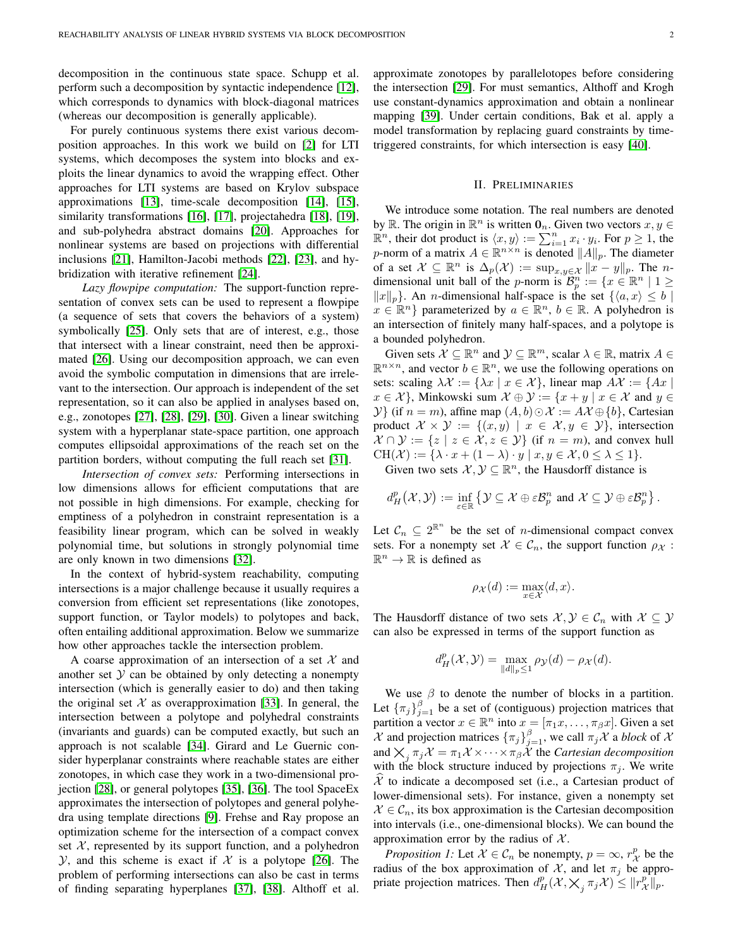decomposition in the continuous state space. Schupp et al. perform such a decomposition by syntactic independence [\[12\]](#page-10-11), which corresponds to dynamics with block-diagonal matrices (whereas our decomposition is generally applicable).

For purely continuous systems there exist various decomposition approaches. In this work we build on [\[2\]](#page-10-1) for LTI systems, which decomposes the system into blocks and exploits the linear dynamics to avoid the wrapping effect. Other approaches for LTI systems are based on Krylov subspace approximations [\[13\]](#page-10-12), time-scale decomposition [\[14\]](#page-10-13), [\[15\]](#page-10-14), similarity transformations [\[16\]](#page-10-15), [\[17\]](#page-10-16), projectahedra [\[18\]](#page-10-17), [\[19\]](#page-10-18), and sub-polyhedra abstract domains [\[20\]](#page-10-19). Approaches for nonlinear systems are based on projections with differential inclusions [\[21\]](#page-10-20), Hamilton-Jacobi methods [\[22\]](#page-10-21), [\[23\]](#page-10-22), and hybridization with iterative refinement [\[24\]](#page-10-23).

*Lazy flowpipe computation:* The support-function representation of convex sets can be used to represent a flowpipe (a sequence of sets that covers the behaviors of a system) symbolically [\[25\]](#page-10-24). Only sets that are of interest, e.g., those that intersect with a linear constraint, need then be approximated [\[26\]](#page-10-25). Using our decomposition approach, we can even avoid the symbolic computation in dimensions that are irrelevant to the intersection. Our approach is independent of the set representation, so it can also be applied in analyses based on, e.g., zonotopes [\[27\]](#page-10-26), [\[28\]](#page-10-27), [\[29\]](#page-10-28), [\[30\]](#page-10-29). Given a linear switching system with a hyperplanar state-space partition, one approach computes ellipsoidal approximations of the reach set on the partition borders, without computing the full reach set [\[31\]](#page-10-30).

*Intersection of convex sets:* Performing intersections in low dimensions allows for efficient computations that are not possible in high dimensions. For example, checking for emptiness of a polyhedron in constraint representation is a feasibility linear program, which can be solved in weakly polynomial time, but solutions in strongly polynomial time are only known in two dimensions [\[32\]](#page-10-31).

In the context of hybrid-system reachability, computing intersections is a major challenge because it usually requires a conversion from efficient set representations (like zonotopes, support function, or Taylor models) to polytopes and back, often entailing additional approximation. Below we summarize how other approaches tackle the intersection problem.

A coarse approximation of an intersection of a set  $\mathcal X$  and another set  $Y$  can be obtained by only detecting a nonempty intersection (which is generally easier to do) and then taking the original set  $X$  as overapproximation [\[33\]](#page-10-32). In general, the intersection between a polytope and polyhedral constraints (invariants and guards) can be computed exactly, but such an approach is not scalable [\[34\]](#page-10-33). Girard and Le Guernic consider hyperplanar constraints where reachable states are either zonotopes, in which case they work in a two-dimensional projection [\[28\]](#page-10-27), or general polytopes [\[35\]](#page-10-34), [\[36\]](#page-10-35). The tool SpaceEx approximates the intersection of polytopes and general polyhedra using template directions [\[9\]](#page-10-8). Frehse and Ray propose an optimization scheme for the intersection of a compact convex set  $X$ , represented by its support function, and a polyhedron  $Y$ , and this scheme is exact if  $X$  is a polytope [\[26\]](#page-10-25). The problem of performing intersections can also be cast in terms of finding separating hyperplanes [\[37\]](#page-10-36), [\[38\]](#page-11-0). Althoff et al. approximate zonotopes by parallelotopes before considering the intersection [\[29\]](#page-10-28). For must semantics, Althoff and Krogh use constant-dynamics approximation and obtain a nonlinear mapping [\[39\]](#page-11-1). Under certain conditions, Bak et al. apply a model transformation by replacing guard constraints by timetriggered constraints, for which intersection is easy [\[40\]](#page-11-2).

## II. PRELIMINARIES

We introduce some notation. The real numbers are denoted by  $\mathbb{R}$ . The origin in  $\mathbb{R}^n$  is written  $\mathbf{0}_n$ . Given two vectors  $x, y \in$  $\mathbb{R}^n$ , their dot product is  $\langle x, y \rangle := \sum_{i=1}^n x_i \cdot y_i$ . For  $p \ge 1$ , the p-norm of a matrix  $A \in \mathbb{R}^{n \times n}$  is denoted  $||A||_p$ . The diameter of a set  $\mathcal{X} \subseteq \mathbb{R}^n$  is  $\Delta_p(\mathcal{X}) := \sup_{x,y \in \mathcal{X}} ||x - y||_p$ . The ndimensional unit ball of the p-norm is  $\mathcal{B}_p^n := \{x \in \mathbb{R}^n \mid 1 \geq$  $||x||_p$ . An *n*-dimensional half-space is the set  $\{\langle a, x \rangle \leq b \mid$  $x \in \mathbb{R}^n$  parameterized by  $a \in \mathbb{R}^n$ ,  $b \in \mathbb{R}$ . A polyhedron is an intersection of finitely many half-spaces, and a polytope is a bounded polyhedron.

Given sets  $\mathcal{X} \subseteq \mathbb{R}^n$  and  $\mathcal{Y} \subseteq \mathbb{R}^m$ , scalar  $\lambda \in \mathbb{R}$ , matrix  $A \in$  $\mathbb{R}^{n \times n}$ , and vector  $b \in \mathbb{R}^n$ , we use the following operations on sets: scaling  $\lambda \mathcal{X} := {\lambda x \mid x \in \mathcal{X}}$ , linear map  $A\mathcal{X} := {\lambda x \mid x \in \mathcal{X}}$  $x \in \mathcal{X}$ , Minkowski sum  $\mathcal{X} \oplus \mathcal{Y} := \{x + y \mid x \in \mathcal{X} \text{ and } y \in \mathcal{Y}\}$  $\mathcal{Y}$ } (if  $n = m$ ), affine map  $(A, b) \odot \mathcal{X} := A\mathcal{X} \oplus \{b\}$ , Cartesian product  $\mathcal{X} \times \mathcal{Y} := \{(x, y) \mid x \in \mathcal{X}, y \in \mathcal{Y}\}\$ , intersection  $\mathcal{X} \cap \mathcal{Y} := \{ z \mid z \in \mathcal{X}, z \in \mathcal{Y} \}$  (if  $n = m$ ), and convex hull  $CH(\mathcal{X}) := \{ \lambda \cdot x + (1 - \lambda) \cdot y \mid x, y \in \mathcal{X}, 0 \leq \lambda \leq 1 \}.$ 

Given two sets  $X, Y \subseteq \mathbb{R}^n$ , the Hausdorff distance is

$$
d_H^p(\mathcal{X}, \mathcal{Y}) := \inf_{\varepsilon \in \mathbb{R}} \left\{ \mathcal{Y} \subseteq \mathcal{X} \oplus \varepsilon \mathcal{B}_p^n \text{ and } \mathcal{X} \subseteq \mathcal{Y} \oplus \varepsilon \mathcal{B}_p^n \right\}.
$$

Let  $C_n \subseteq 2^{\mathbb{R}^n}$  be the set of *n*-dimensional compact convex sets. For a nonempty set  $X \in C_n$ , the support function  $\rho_X$ :  $\mathbb{R}^n \to \mathbb{R}$  is defined as

$$
\rho_{\mathcal{X}}(d) := \max_{x \in \mathcal{X}} \langle d, x \rangle.
$$

The Hausdorff distance of two sets  $\mathcal{X}, \mathcal{Y} \in \mathcal{C}_n$  with  $\mathcal{X} \subseteq \mathcal{Y}$ can also be expressed in terms of the support function as

$$
d_H^p(\mathcal{X}, \mathcal{Y}) = \max_{\|d\|_p \le 1} \rho_{\mathcal{Y}}(d) - \rho_{\mathcal{X}}(d).
$$

We use  $\beta$  to denote the number of blocks in a partition. Let  $\{\pi_j\}_{j=1}^{\beta}$  be a set of (contiguous) projection matrices that partition a vector  $x \in \mathbb{R}^n$  into  $x = [\pi_1 x, \dots, \pi_\beta x]$ . Given a set  $\mathcal X$  and projection matrices  $\{\pi_j\}_{j=1}^{\beta}$ , we call  $\pi_j\mathcal X$  a *block* of  $\mathcal X$ and  $\chi_j^{\dagger} \pi_j \chi = \pi_1 \chi \times \cdots \times \pi_{\beta} \chi$  the *Cartesian decomposition* with the block structure induced by projections  $\pi_j$ . We write  $X$  to indicate a decomposed set (i.e., a Cartesian product of lower-dimensional sets). For instance, given a nonempty set  $X \in \mathcal{C}_n$ , its box approximation is the Cartesian decomposition into intervals (i.e., one-dimensional blocks). We can bound the approximation error by the radius of  $X$ .

<span id="page-1-0"></span>*Proposition 1:* Let  $X \in C_n$  be nonempty,  $p = \infty$ ,  $r_X^p$  be the radius of the box approximation of  $\mathcal{X}$ , and let  $\pi_j$  be appropriate projection matrices. Then  $d_H^p(\mathcal{X}, \mathsf{X}_j, \pi_j \mathcal{X}) \leq ||r_{\mathcal{X}}^p||_p$ .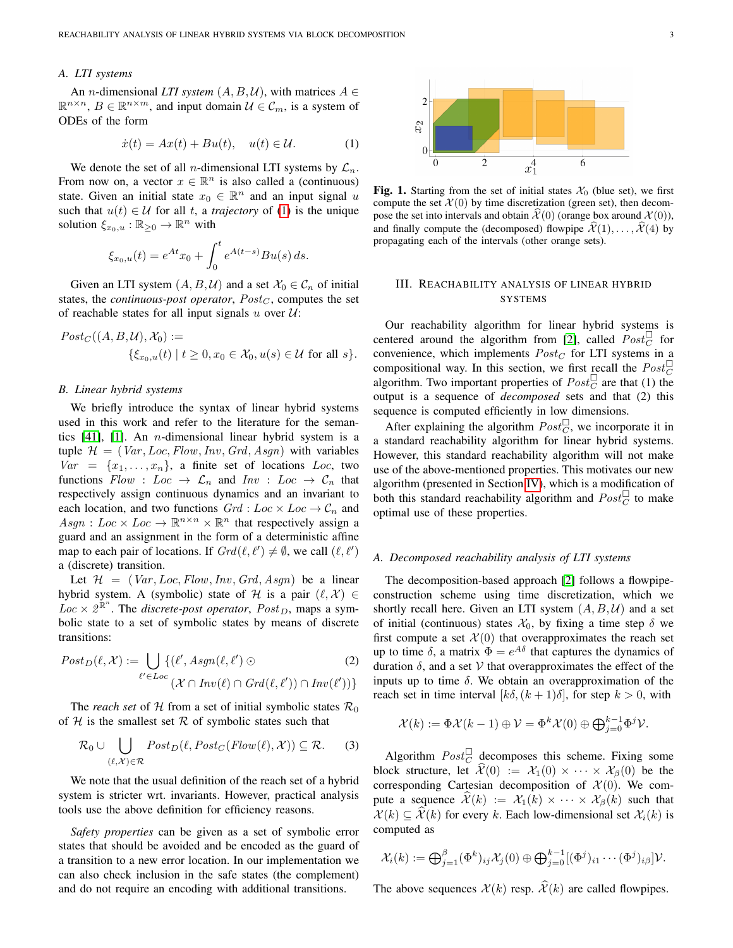## *A. LTI systems*

An *n*-dimensional *LTI system*  $(A, B, U)$ , with matrices  $A \in$  $\mathbb{R}^{n \times n}$ ,  $B \in \mathbb{R}^{n \times m}$ , and input domain  $\mathcal{U} \in \mathcal{C}_m$ , is a system of ODEs of the form

<span id="page-2-1"></span>
$$
\dot{x}(t) = Ax(t) + Bu(t), \quad u(t) \in \mathcal{U}.
$$
 (1)

We denote the set of all *n*-dimensional LTI systems by  $\mathcal{L}_n$ . From now on, a vector  $x \in \mathbb{R}^n$  is also called a (continuous) state. Given an initial state  $x_0 \in \mathbb{R}^n$  and an input signal u such that  $u(t) \in U$  for all t, a *trajectory* of [\(1\)](#page-2-1) is the unique solution  $\xi_{x_0,u} : \mathbb{R}_{\geq 0} \to \mathbb{R}^n$  with

$$
\xi_{x_0,u}(t) = e^{At}x_0 + \int_0^t e^{A(t-s)}Bu(s) ds.
$$

Given an LTI system  $(A, B, \mathcal{U})$  and a set  $\mathcal{X}_0 \in \mathcal{C}_n$  of initial states, the *continuous-post operator*,  $Post<sub>C</sub>$ , computes the set of reachable states for all input signals u over  $U$ :

$$
Post_C((A, B, U), X_0) :=
$$
  
{ $\xi_{x_0, u}(t) | t \ge 0, x_0 \in X_0, u(s) \in U$  for all  $s$  }.

## *B. Linear hybrid systems*

We briefly introduce the syntax of linear hybrid systems used in this work and refer to the literature for the semantics  $[41]$ ,  $[1]$ . An *n*-dimensional linear hybrid system is a tuple  $\mathcal{H} = (Var, Loc, Flow, Inv, Grd, Asgn)$  with variables  $Var = \{x_1, \ldots, x_n\}$ , a finite set of locations Loc, two functions  $Flow : Loc \rightarrow \mathcal{L}_n$  and  $Inv : Loc \rightarrow \mathcal{C}_n$  that respectively assign continuous dynamics and an invariant to each location, and two functions  $Grd : Loc \times Loc \rightarrow C_n$  and  $Asgn: Loc \times Loc \rightarrow \mathbb{R}^{n \times n} \times \mathbb{R}^n$  that respectively assign a guard and an assignment in the form of a deterministic affine map to each pair of locations. If  $Grd(\ell, \ell') \neq \emptyset$ , we call  $(\ell, \ell')$ a (discrete) transition.

Let  $\mathcal{H} = (Var, Loc, Flow, Inv, Grd, Asgn)$  be a linear hybrid system. A (symbolic) state of H is a pair  $(\ell, \mathcal{X}) \in$  $Loc \times 2^{\mathbb{R}^n}$ . The *discrete-post operator*,  $Post_D$ , maps a symbolic state to a set of symbolic states by means of discrete transitions:

$$
Post_D(\ell, \mathcal{X}) := \bigcup_{\ell' \in Loc} \{ (\ell', Asgn(\ell, \ell') \odot \qquad (2)
$$
  

$$
(\mathcal{X} \cap Inv(\ell) \cap Grd(\ell, \ell')) \cap Inv(\ell')) \}
$$

The *reach set* of H from a set of initial symbolic states  $\mathcal{R}_0$ of  $H$  is the smallest set  $R$  of symbolic states such that

$$
\mathcal{R}_0 \cup \bigcup_{(\ell,\mathcal{X}) \in \mathcal{R}} Post_D(\ell, Post_C(Flow(\ell), \mathcal{X})) \subseteq \mathcal{R}.
$$
 (3)

We note that the usual definition of the reach set of a hybrid system is stricter wrt. invariants. However, practical analysis tools use the above definition for efficiency reasons.

*Safety properties* can be given as a set of symbolic error states that should be avoided and be encoded as the guard of a transition to a new error location. In our implementation we can also check inclusion in the safe states (the complement) and do not require an encoding with additional transitions.

<span id="page-2-2"></span>

Fig. 1. Starting from the set of initial states  $\mathcal{X}_0$  (blue set), we first compute the set  $\mathcal{X}(0)$  by time discretization (green set), then decompose the set into intervals and obtain  $\mathcal{X}(0)$  (orange box around  $\mathcal{X}(0)$ ), and finally compute the (decomposed) flowpipe  $\mathcal{X}(1), \ldots, \mathcal{X}(4)$  by propagating each of the intervals (other orange sets).

# <span id="page-2-0"></span>III. REACHABILITY ANALYSIS OF LINEAR HYBRID SYSTEMS

Our reachability algorithm for linear hybrid systems is centered around the algorithm from [\[2\]](#page-10-1), called  $Post_C^{\square}$  for convenience, which implements  $Post_C$  for LTI systems in a compositional way. In this section, we first recall the  $Post_C^{\Box}$ algorithm. Two important properties of  $Post_C^{\square}$  are that (1) the output is a sequence of *decomposed* sets and that (2) this sequence is computed efficiently in low dimensions.

After explaining the algorithm  $Post_{C}^{\square}$ , we incorporate it in a standard reachability algorithm for linear hybrid systems. However, this standard reachability algorithm will not make use of the above-mentioned properties. This motivates our new algorithm (presented in Section [IV\)](#page-3-0), which is a modification of both this standard reachability algorithm and  $Post_C^{\square}$  to make optimal use of these properties.

# <span id="page-2-5"></span>*A. Decomposed reachability analysis of LTI systems*

<span id="page-2-4"></span>The decomposition-based approach [\[2\]](#page-10-1) follows a flowpipeconstruction scheme using time discretization, which we shortly recall here. Given an LTI system  $(A, B, U)$  and a set of initial (continuous) states  $\mathcal{X}_0$ , by fixing a time step  $\delta$  we first compute a set  $\mathcal{X}(0)$  that overapproximates the reach set up to time  $\delta$ , a matrix  $\Phi = e^{A\delta}$  that captures the dynamics of duration  $\delta$ , and a set V that overapproximates the effect of the inputs up to time  $\delta$ . We obtain an overapproximation of the reach set in time interval  $[k\delta, (k+1)\delta]$ , for step  $k > 0$ , with

$$
\mathcal{X}(k) := \Phi \mathcal{X}(k-1) \oplus \mathcal{V} = \Phi^k \mathcal{X}(0) \oplus \bigoplus_{j=0}^{k-1} \Phi^j \mathcal{V}.
$$

<span id="page-2-3"></span>Algorithm  $Post_C^{\square}$  decomposes this scheme. Fixing some block structure, let  $\hat{\mathcal{X}}(0) := \mathcal{X}_1(0) \times \cdots \times \mathcal{X}_{\beta}(0)$  be the corresponding Cartesian decomposition of  $\mathcal{X}(0)$ . We compute a sequence  $\mathcal{X}(k) := \mathcal{X}_1(k) \times \cdots \times \mathcal{X}_n(k)$  such that  $\mathcal{X}(k) \subset \widehat{\mathcal{X}}(k)$  for every k. Each low-dimensional set  $\mathcal{X}_i(k)$  is computed as

$$
\mathcal{X}_i(k) := \bigoplus_{j=1}^{\beta} (\Phi^k)_{ij} \mathcal{X}_j(0) \oplus \bigoplus_{j=0}^{k-1} [(\Phi^j)_{i1} \cdots (\Phi^j)_{i\beta}] \mathcal{V}.
$$

The above sequences  $\mathcal{X}(k)$  resp.  $\widehat{\mathcal{X}}(k)$  are called flowpipes.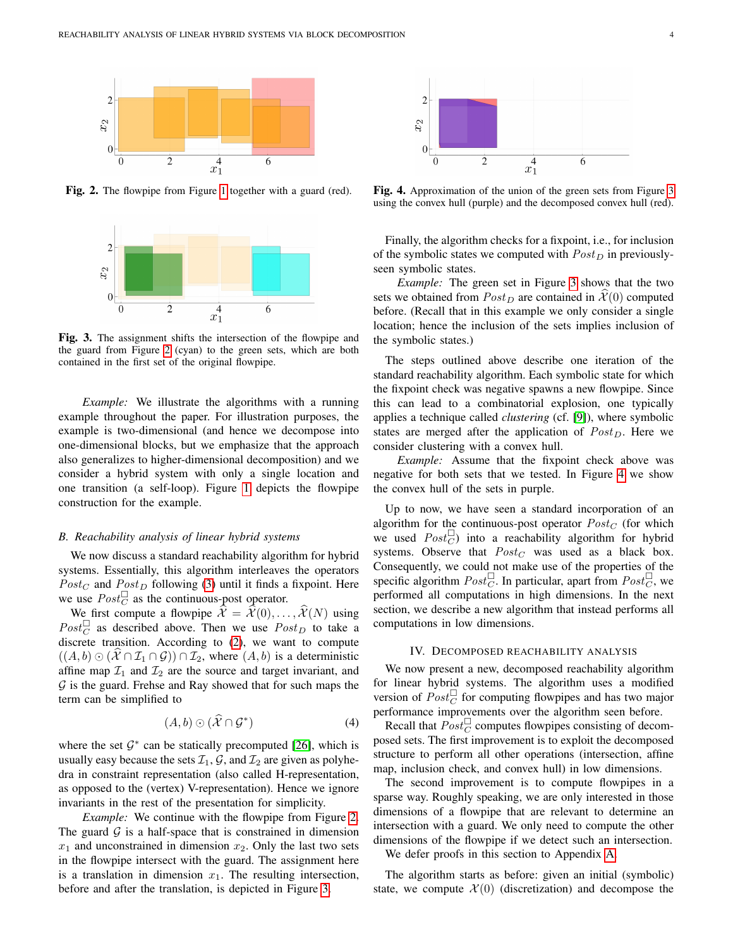<span id="page-3-1"></span>

<span id="page-3-2"></span>Fig. 2. The flowpipe from Figure [1](#page-2-2) together with a guard (red).



Fig. 3. The assignment shifts the intersection of the flowpipe and the guard from Figure [2](#page-3-1) (cyan) to the green sets, which are both contained in the first set of the original flowpipe.

*Example:* We illustrate the algorithms with a running example throughout the paper. For illustration purposes, the example is two-dimensional (and hence we decompose into one-dimensional blocks, but we emphasize that the approach also generalizes to higher-dimensional decomposition) and we consider a hybrid system with only a single location and one transition (a self-loop). Figure [1](#page-2-2) depicts the flowpipe construction for the example.

#### *B. Reachability analysis of linear hybrid systems*

We now discuss a standard reachability algorithm for hybrid systems. Essentially, this algorithm interleaves the operators  $Post_C$  and  $Post_D$  following [\(3\)](#page-2-3) until it finds a fixpoint. Here we use  $Post_C^{\square}$  as the continuous-post operator.

We first compute a flowpipe  $\hat{\mathcal{X}} = \hat{\mathcal{X}}(0), \dots, \hat{\mathcal{X}}(N)$  using  $Post_C^{\square}$  as described above. Then we use  $Post_D$  to take a discrete transition. According to [\(2\)](#page-2-4), we want to compute  $((A, b) \odot (\mathcal{X} \cap \mathcal{I}_1 \cap \mathcal{G})) \cap \mathcal{I}_2$ , where  $(A, b)$  is a deterministic affine map  $\mathcal{I}_1$  and  $\mathcal{I}_2$  are the source and target invariant, and  $G$  is the guard. Frehse and Ray showed that for such maps the term can be simplified to

<span id="page-3-4"></span>
$$
(A,b)\odot(\widehat{\mathcal{X}}\cap\mathcal{G}^*)\tag{4}
$$

where the set  $G^*$  can be statically precomputed [\[26\]](#page-10-25), which is usually easy because the sets  $\mathcal{I}_1$ ,  $\mathcal{G}$ , and  $\mathcal{I}_2$  are given as polyhedra in constraint representation (also called H-representation, as opposed to the (vertex) V-representation). Hence we ignore invariants in the rest of the presentation for simplicity.

*Example:* We continue with the flowpipe from Figure [2.](#page-3-1) The guard  $G$  is a half-space that is constrained in dimension  $x_1$  and unconstrained in dimension  $x_2$ . Only the last two sets in the flowpipe intersect with the guard. The assignment here is a translation in dimension  $x_1$ . The resulting intersection, before and after the translation, is depicted in Figure [3.](#page-3-2)

<span id="page-3-3"></span>

Fig. 4. Approximation of the union of the green sets from Figure [3](#page-3-2) using the convex hull (purple) and the decomposed convex hull (red).

Finally, the algorithm checks for a fixpoint, i.e., for inclusion of the symbolic states we computed with  $Post_D$  in previouslyseen symbolic states.

*Example:* The green set in Figure [3](#page-3-2) shows that the two sets we obtained from  $Post_D$  are contained in  $\mathcal{X}(0)$  computed before. (Recall that in this example we only consider a single location; hence the inclusion of the sets implies inclusion of the symbolic states.)

The steps outlined above describe one iteration of the standard reachability algorithm. Each symbolic state for which the fixpoint check was negative spawns a new flowpipe. Since this can lead to a combinatorial explosion, one typically applies a technique called *clustering* (cf. [\[9\]](#page-10-8)), where symbolic states are merged after the application of  $Post_D$ . Here we consider clustering with a convex hull.

*Example:* Assume that the fixpoint check above was negative for both sets that we tested. In Figure [4](#page-3-3) we show the convex hull of the sets in purple.

Up to now, we have seen a standard incorporation of an algorithm for the continuous-post operator  $Post_C$  (for which we used  $Post_C^{\square}$  into a reachability algorithm for hybrid systems. Observe that  $Post_C$  was used as a black box. Consequently, we could not make use of the properties of the specific algorithm  $Post_C^{\Box}$ . In particular, apart from  $Post_C^{\Box}$ , we performed all computations in high dimensions. In the next section, we describe a new algorithm that instead performs all computations in low dimensions.

# IV. DECOMPOSED REACHABILITY ANALYSIS

<span id="page-3-0"></span>We now present a new, decomposed reachability algorithm for linear hybrid systems. The algorithm uses a modified version of  $Post_C^{\square}$  for computing flowpipes and has two major performance improvements over the algorithm seen before.

Recall that  $Post_C^{\square}$  computes flowpipes consisting of decomposed sets. The first improvement is to exploit the decomposed structure to perform all other operations (intersection, affine map, inclusion check, and convex hull) in low dimensions.

The second improvement is to compute flowpipes in a sparse way. Roughly speaking, we are only interested in those dimensions of a flowpipe that are relevant to determine an intersection with a guard. We only need to compute the other dimensions of the flowpipe if we detect such an intersection.

We defer proofs in this section to Appendix [A.](#page-11-4)

The algorithm starts as before: given an initial (symbolic) state, we compute  $\mathcal{X}(0)$  (discretization) and decompose the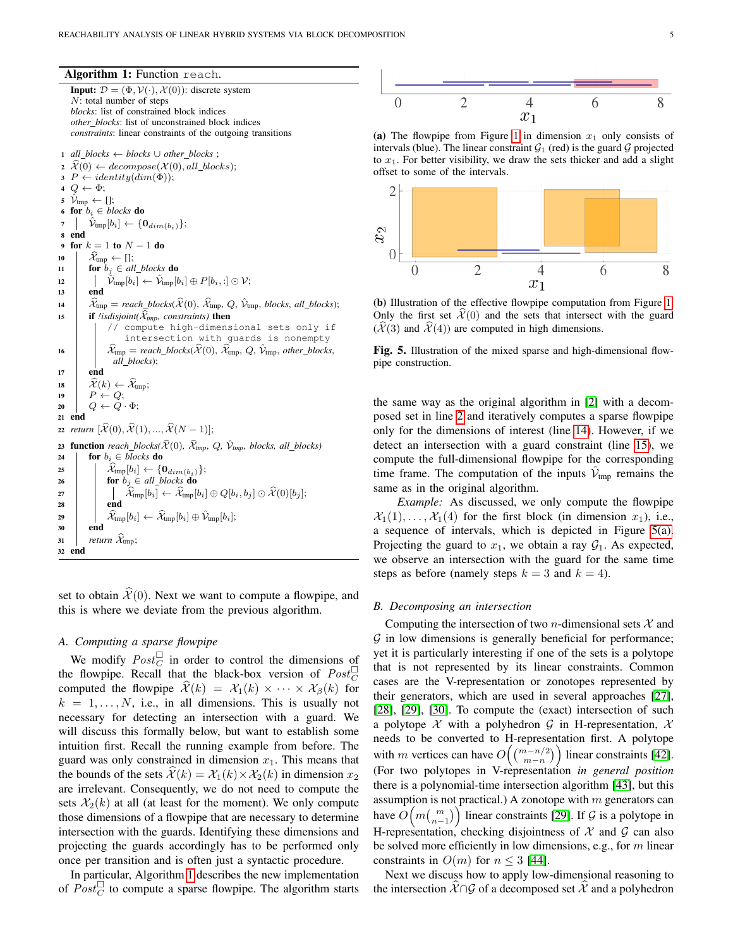Algorithm 1: Function reach.

<span id="page-4-3"></span><span id="page-4-2"></span><span id="page-4-1"></span><span id="page-4-0"></span>**Input:**  $\mathcal{D} = (\Phi, \mathcal{V}(\cdot), \mathcal{X}(0))$ : discrete system N: total number of steps *blocks*: list of constrained block indices *other blocks*: list of unconstrained block indices *constraints*: linear constraints of the outgoing transitions <sup>1</sup> *all blocks* ← *blocks* ∪ *other blocks* ;  $\chi^2(\theta) \leftarrow decompose(\mathcal{X}(0), all\_blocks);$  $3 P \leftarrow identity(dim(\Phi));$  $4 Q \leftarrow \Phi;$ 5  $\mathcal{V}_{\text{tmp}} \leftarrow []$ ; 6 for  $b_i \in blocks$  do 7  $|\hat{V}_{\text{tmp}}[b_i] \leftarrow \{0_{dim(b_i)}\};$ <sup>8</sup> end 9 for  $k = 1$  to  $N - 1$  do 10  $\mathcal{X}_{\text{tmp}} \leftarrow []$ ;<br>
11 **for**  $b_i \in al$ for  $b_j \in all\_blocks$  do 12  $|\hat{\mathcal{V}}_{\text{tmp}}[b_i] \leftarrow \hat{\mathcal{V}}_{\text{tmp}}[b_i] \oplus P[b_i, :] \odot \mathcal{V};$  $13$  end 14  $\hat{\mathcal{X}}_{\text{tmp}} = reach\_blocks(\hat{\mathcal{X}}_{\text{(0)}}, \hat{\mathcal{X}}_{\text{tmp}}, Q, \hat{\mathcal{V}}_{\text{tmp}}, blocks, all\_blocks);$ <br>
15 **if** *lisdisioint*( $\hat{\mathcal{X}}_{\text{rms}}$ , *constraints*) **then** if *!isdisjoint*( $\widehat{X}_{tmp}$ *, constraints*) then // compute high-dimensional sets only if intersection with guards is nonempty 16  $\hat{\mathcal{X}}_{\text{tmp}} = reach\_blocks(\widehat{\mathcal{X}}(0), \widehat{\mathcal{X}}_{\text{tmp}}, Q, \widehat{\mathcal{Y}}_{\text{tmp}}, other\_blocks,$ *all blocks*); 17 end 18  $\hat{\mathcal{X}}(k) \leftarrow \hat{\mathcal{X}}_{\text{tmp}};$ <br>19  $P \leftarrow Q$ ;  $P \leftarrow Q;$ 20  $\left| Q \leftarrow \tilde{Q} \cdot \Phi;$ <sup>21</sup> end 22 *return*  $[\widehat{\mathcal{X}}(0), \widehat{\mathcal{X}}(1), ..., \widehat{\mathcal{X}}(N-1)];$ 23 **function** *reach\_blocks(* $\hat{\mathcal{X}}(0)$ *,*  $\hat{\mathcal{X}}_{tmp}$ *, Q,*  $\hat{\mathcal{V}}_{tmp}$ *, blocks, all\_blocks*)<br>24 **for**  $b_i \in blocks$  **do** for  $b_i \in blocks$  do 25  $\lambda_{\text{tmp}}[b_i] \leftarrow \{0_{dim(b_i)}\};$ <br>26  $\lambda_{\text{top}}[b_i] \leftarrow \{0_{dim(b_i)}\};$ 26 **for**  $b_j \in all\_blocks$  **do**  $\begin{equation} \begin{aligned} \mathcal{X}_{\text{tmp}}[b_i] \leftarrow \mathcal{X}_{\text{tmp}}[b_i] \oplus Q[b_i,b_j] \odot \mathcal{X}(0)[b_j]; \end{aligned} \end{equation}$  $28$  end 29  $\begin{bmatrix} 29 \\ 30 \end{bmatrix}$   $\begin{bmatrix} 20 \\ \hat{\mathcal{X}}_{\text{tmp}}[b_i] \leftarrow \hat{\mathcal{X}}_{\text{tmp}}[b_i] \oplus \hat{\mathcal{V}}_{\text{tmp}}[b_i];$ end  $\begin{array}{c|c}\n\mathbf{31} & \mathbf{1} & \mathbf{return} \ \mathcal{X}_{\text{tmp}};\n\mathbf{32} & \mathbf{end}\n\end{array}$ <sup>32</sup> end

set to obtain  $\hat{\mathcal{X}}(0)$ . Next we want to compute a flowpipe, and this is where we deviate from the previous algorithm.

# *A. Computing a sparse flowpipe*

We modify  $Post_C^{\square}$  in order to control the dimensions of the flowpipe. Recall that the black-box version of  $Post_C^{\Box}$ computed the flowpipe  $\mathcal{X}(k) = \mathcal{X}_1(k) \times \cdots \times \mathcal{X}_n(k)$  for  $k = 1, \ldots, N$ , i.e., in all dimensions. This is usually not necessary for detecting an intersection with a guard. We will discuss this formally below, but want to establish some intuition first. Recall the running example from before. The guard was only constrained in dimension  $x_1$ . This means that the bounds of the sets  $\mathcal{X}(k) = \mathcal{X}_1(k) \times \mathcal{X}_2(k)$  in dimension  $x_2$ are irrelevant. Consequently, we do not need to compute the sets  $\mathcal{X}_2(k)$  at all (at least for the moment). We only compute those dimensions of a flowpipe that are necessary to determine intersection with the guards. Identifying these dimensions and projecting the guards accordingly has to be performed only once per transition and is often just a syntactic procedure.

In particular, Algorithm [1](#page-4-0) describes the new implementation of  $Post_C^{\square}$  to compute a sparse flowpipe. The algorithm starts

<span id="page-4-4"></span>

(a) The flowpipe from Figure [1](#page-2-2) in dimension  $x_1$  only consists of intervals (blue). The linear constraint  $G_1$  (red) is the guard G projected to  $x_1$ . For better visibility, we draw the sets thicker and add a slight offset to some of the intervals.



(b) Illustration of the effective flowpipe computation from Figure [1.](#page-2-2) Only the first set  $\hat{\mathcal{X}}(0)$  and the sets that intersect with the guard  $(\mathcal{X}(3)$  and  $\mathcal{X}(4)$ ) are computed in high dimensions.

Fig. 5. Illustration of the mixed sparse and high-dimensional flowpipe construction.

the same way as the original algorithm in [\[2\]](#page-10-1) with a decomposed set in line [2](#page-4-1) and iteratively computes a sparse flowpipe only for the dimensions of interest (line [14\)](#page-4-2). However, if we detect an intersection with a guard constraint (line [15\)](#page-4-3), we compute the full-dimensional flowpipe for the corresponding time frame. The computation of the inputs  $\hat{V}_{\text{tmp}}$  remains the same as in the original algorithm.

*Example:* As discussed, we only compute the flowpipe  $\mathcal{X}_1(1), \ldots, \mathcal{X}_1(4)$  for the first block (in dimension  $x_1$ ), i.e., a sequence of intervals, which is depicted in Figure [5\(a\).](#page-4-4) Projecting the guard to  $x_1$ , we obtain a ray  $\mathcal{G}_1$ . As expected, we observe an intersection with the guard for the same time steps as before (namely steps  $k = 3$  and  $k = 4$ ).

#### <span id="page-4-5"></span>*B. Decomposing an intersection*

Computing the intersection of two *n*-dimensional sets  $X$  and  $G$  in low dimensions is generally beneficial for performance; yet it is particularly interesting if one of the sets is a polytope that is not represented by its linear constraints. Common cases are the V-representation or zonotopes represented by their generators, which are used in several approaches [\[27\]](#page-10-26), [\[28\]](#page-10-27), [\[29\]](#page-10-28), [\[30\]](#page-10-29). To compute the (exact) intersection of such a polytope  $\mathcal X$  with a polyhedron  $\mathcal G$  in H-representation,  $\mathcal X$ needs to be converted to H-representation first. A polytope with m vertices can have  $O((\frac{(m-n/2)}{m-n}))$  linear constraints [\[42\]](#page-11-5). (For two polytopes in V-representation *in general position* there is a polynomial-time intersection algorithm [\[43\]](#page-11-6), but this assumption is not practical.) A zonotope with  $m$  generators can have  $O(m \binom{m}{n-1})$  linear constraints [\[29\]](#page-10-28). If  $\mathcal G$  is a polytope in H-representation, checking disjointness of  $X$  and  $G$  can also be solved more efficiently in low dimensions, e.g., for m linear constraints in  $O(m)$  for  $n \leq 3$  [\[44\]](#page-11-7).

Next we discuss how to apply low-dimensional reasoning to the intersection  $X \cap G$  of a decomposed set X and a polyhedron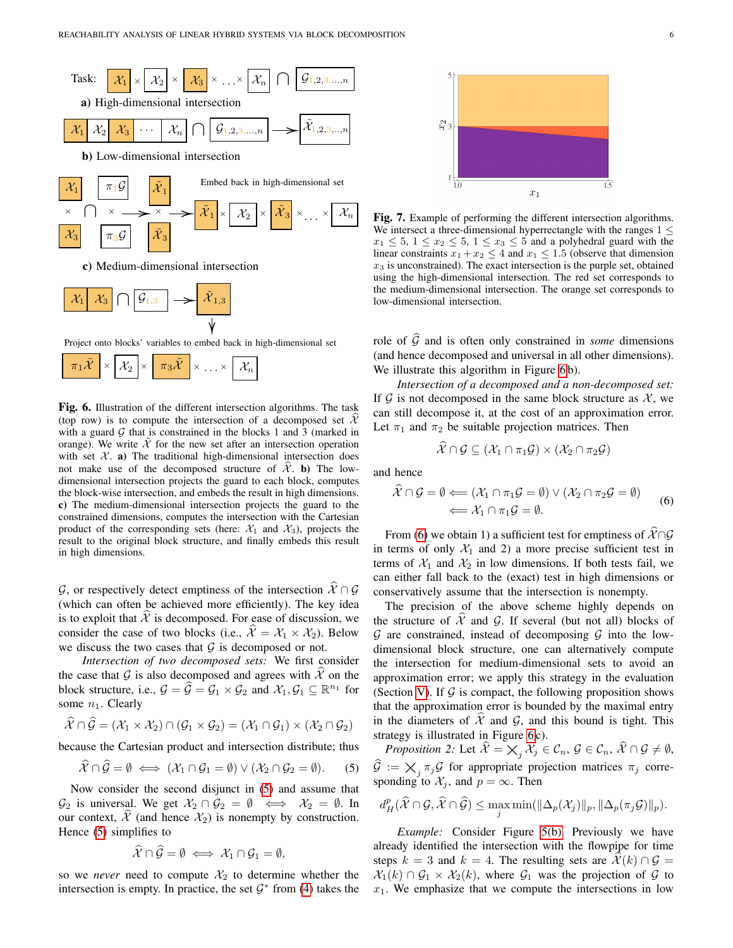<span id="page-5-1"></span>

Project onto blocks' variables to embed back in high-dimensional set



Fig. 6. Illustration of the different intersection algorithms. The task (top row) is to compute the intersection of a decomposed set  $\hat{\mathcal{X}}$ with a guard  $G$  that is constrained in the blocks 1 and 3 (marked in orange). We write  $X$  for the new set after an intersection operation with set  $X$ . a) The traditional high-dimensional intersection does not make use of the decomposed structure of  $\hat{\mathcal{X}}$ . b) The lowdimensional intersection projects the guard to each block, computes the block-wise intersection, and embeds the result in high dimensions. c) The medium-dimensional intersection projects the guard to the constrained dimensions, computes the intersection with the Cartesian product of the corresponding sets (here:  $\mathcal{X}_1$  and  $\mathcal{X}_3$ ), projects the result to the original block structure, and finally embeds this result in high dimensions.

G, or respectively detect emptiness of the intersection  $\widehat{\mathcal{X}} \cap \mathcal{G}$ (which can often be achieved more efficiently). The key idea is to exploit that  $\hat{\mathcal{X}}$  is decomposed. For ease of discussion, we consider the case of two blocks (i.e.,  $\hat{\mathcal{X}} = \mathcal{X}_1 \times \mathcal{X}_2$ ). Below we discuss the two cases that  $G$  is decomposed or not.

*Intersection of two decomposed sets:* We first consider the case that G is also decomposed and agrees with  $\mathcal{X}$  on the block structure, i.e.,  $G = \widehat{G} = \mathcal{G}_1 \times \mathcal{G}_2$  and  $\mathcal{X}_1, \mathcal{G}_1 \subseteq \mathbb{R}^{n_1}$  for some  $n_1$ . Clearly

$$
\widehat{\mathcal{X}} \cap \widehat{\mathcal{G}} = (\mathcal{X}_1 \times \mathcal{X}_2) \cap (\mathcal{G}_1 \times \mathcal{G}_2) = (\mathcal{X}_1 \cap \mathcal{G}_1) \times (\mathcal{X}_2 \cap \mathcal{G}_2)
$$

because the Cartesian product and intersection distribute; thus

<span id="page-5-0"></span>
$$
\hat{\mathcal{X}} \cap \hat{\mathcal{G}} = \emptyset \iff (\mathcal{X}_1 \cap \mathcal{G}_1 = \emptyset) \lor (\mathcal{X}_2 \cap \mathcal{G}_2 = \emptyset). \tag{5}
$$

Now consider the second disjunct in [\(5\)](#page-5-0) and assume that  $\mathcal{G}_2$  is universal. We get  $\mathcal{X}_2 \cap \mathcal{G}_2 = \emptyset \iff \mathcal{X}_2 = \emptyset$ . In our context,  $\mathcal X$  (and hence  $\mathcal X_2$ ) is nonempty by construction. Hence [\(5\)](#page-5-0) simplifies to

$$
\widehat{\mathcal{X}}\cap\widehat{\mathcal{G}}=\emptyset\iff\mathcal{X}_1\cap\mathcal{G}_1=\emptyset,
$$

so we *never* need to compute  $\mathcal{X}_2$  to determine whether the intersection is empty. In practice, the set  $\mathcal{G}^*$  from [\(4\)](#page-3-4) takes the

<span id="page-5-3"></span>

Fig. 7. Example of performing the different intersection algorithms. We intersect a three-dimensional hyperrectangle with the ranges  $1 \leq$  $x_1 \leq 5$ ,  $1 \leq x_2 \leq 5$ ,  $1 \leq x_3 \leq 5$  and a polyhedral guard with the linear constraints  $x_1 + x_2 \leq 4$  and  $x_1 \leq 1.5$  (observe that dimension  $x_3$  is unconstrained). The exact intersection is the purple set, obtained using the high-dimensional intersection. The red set corresponds to the medium-dimensional intersection. The orange set corresponds to low-dimensional intersection.

role of  $\widehat{G}$  and is often only constrained in *some* dimensions (and hence decomposed and universal in all other dimensions). We illustrate this algorithm in Figure [6](#page-5-1) b).

*Intersection of a decomposed and a non-decomposed set:* If  $\mathcal G$  is not decomposed in the same block structure as  $\mathcal X$ , we can still decompose it, at the cost of an approximation error. Let  $\pi_1$  and  $\pi_2$  be suitable projection matrices. Then

$$
\widehat{\mathcal{X}}\cap\mathcal{G}\subseteq(\mathcal{X}_1\cap\pi_1\mathcal{G})\times(\mathcal{X}_2\cap\pi_2\mathcal{G})
$$

and hence

<span id="page-5-2"></span>
$$
\mathcal{X} \cap \mathcal{G} = \emptyset \Longleftarrow (\mathcal{X}_1 \cap \pi_1 \mathcal{G} = \emptyset) \lor (\mathcal{X}_2 \cap \pi_2 \mathcal{G} = \emptyset) \Longleftarrow \mathcal{X}_1 \cap \pi_1 \mathcal{G} = \emptyset.
$$
\n(6)

From [\(6\)](#page-5-2) we obtain 1) a sufficient test for emptiness of  $\hat{\mathcal{X}} \cap \mathcal{G}$ in terms of only  $\mathcal{X}_1$  and 2) a more precise sufficient test in terms of  $\mathcal{X}_1$  and  $\mathcal{X}_2$  in low dimensions. If both tests fail, we can either fall back to the (exact) test in high dimensions or conservatively assume that the intersection is nonempty.

The precision of the above scheme highly depends on the structure of  $\mathcal{X}$  and  $\mathcal{G}$ . If several (but not all) blocks of  $G$  are constrained, instead of decomposing  $G$  into the lowdimensional block structure, one can alternatively compute the intersection for medium-dimensional sets to avoid an approximation error; we apply this strategy in the evaluation (Section [V\)](#page-7-0). If  $\mathcal G$  is compact, the following proposition shows that the approximation error is bounded by the maximal entry in the diameters of  $\mathcal{X}$  and  $\mathcal{G}$ , and this bound is tight. This strategy is illustrated in Figure [6](#page-5-1)c).

<span id="page-5-4"></span>*Proposition 2:* Let  $\widehat{\mathcal{X}} = \bigtimes_j \mathcal{X}_j \in \mathcal{C}_n, \mathcal{G} \in \mathcal{C}_n, \widehat{\mathcal{X}} \cap \mathcal{G} \neq \emptyset$ ,  $\widehat{\mathcal{G}} := \bigtimes_j \pi_j \mathcal{G}$  for appropriate projection matrices  $\pi_j$  corresponding to  $\mathcal{X}_j$ , and  $p = \infty$ . Then

$$
d_H^p(\widehat{X} \cap \mathcal{G}, \widehat{X} \cap \widehat{\mathcal{G}}) \le \max_j \min(||\Delta_p(\mathcal{X}_j)||_p, ||\Delta_p(\pi_j \mathcal{G})||_p).
$$

*Example:* Consider Figure [5\(b\).](#page-4-4) Previously we have already identified the intersection with the flowpipe for time steps  $k = 3$  and  $k = 4$ . The resulting sets are  $\mathcal{X}(k) \cap \mathcal{G} =$  $\mathcal{X}_1(k) \cap \mathcal{G}_1 \times \mathcal{X}_2(k)$ , where  $\mathcal{G}_1$  was the projection of  $\mathcal G$  to  $x_1$ . We emphasize that we compute the intersections in low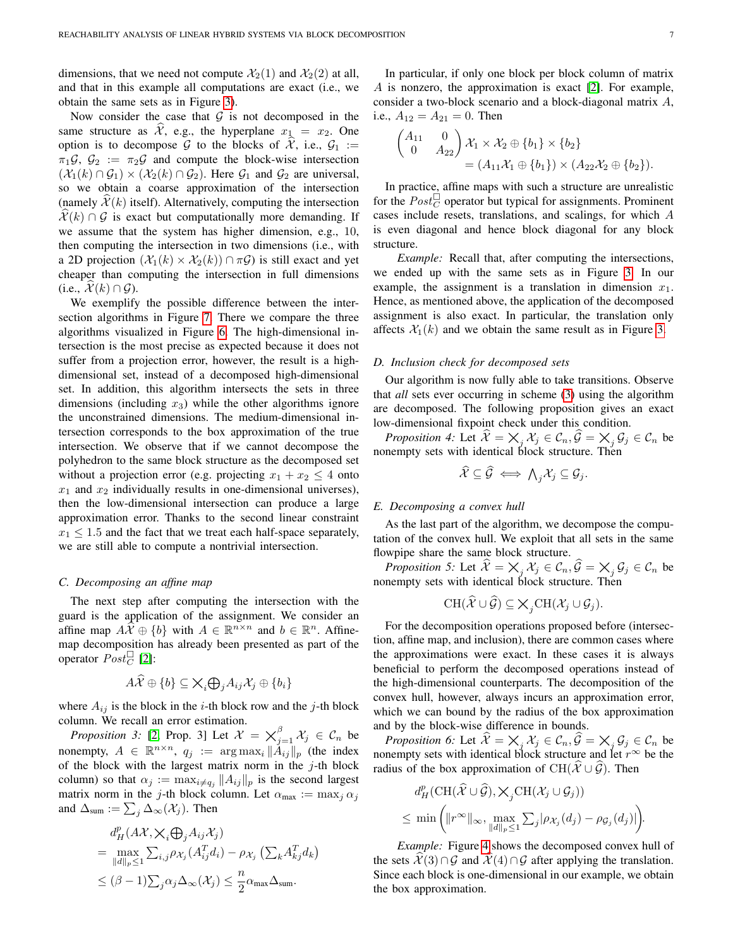dimensions, that we need not compute  $\mathcal{X}_2(1)$  and  $\mathcal{X}_2(2)$  at all, and that in this example all computations are exact (i.e., we obtain the same sets as in Figure [3\)](#page-3-2).

Now consider the case that  $G$  is not decomposed in the same structure as  $\hat{\mathcal{X}}$ , e.g., the hyperplane  $x_1 = x_2$ . One option is to decompose  $G$  to the blocks of  $\tilde{\mathcal{X}}$ , i.e.,  $G_1 :=$  $\pi_1\mathcal{G}, \mathcal{G}_2 := \pi_2\mathcal{G}$  and compute the block-wise intersection  $(\mathcal{X}_1(k) \cap \mathcal{G}_1) \times (\mathcal{X}_2(k) \cap \mathcal{G}_2)$ . Here  $\mathcal{G}_1$  and  $\mathcal{G}_2$  are universal, so we obtain a coarse approximation of the intersection (namely  $\mathcal{X}(k)$  itself). Alternatively, computing the intersection  $\mathcal{X}(k) \cap \mathcal{G}$  is exact but computationally more demanding. If we assume that the system has higher dimension, e.g., 10, then computing the intersection in two dimensions (i.e., with a 2D projection  $(\mathcal{X}_1(k) \times \mathcal{X}_2(k)) \cap \pi \mathcal{G}$  is still exact and yet cheaper than computing the intersection in full dimensions (i.e.,  $\mathcal{X}(k) \cap \mathcal{G}$ ).

We exemplify the possible difference between the intersection algorithms in Figure [7.](#page-5-3) There we compare the three algorithms visualized in Figure [6.](#page-5-1) The high-dimensional intersection is the most precise as expected because it does not suffer from a projection error, however, the result is a highdimensional set, instead of a decomposed high-dimensional set. In addition, this algorithm intersects the sets in three dimensions (including  $x_3$ ) while the other algorithms ignore the unconstrained dimensions. The medium-dimensional intersection corresponds to the box approximation of the true intersection. We observe that if we cannot decompose the polyhedron to the same block structure as the decomposed set without a projection error (e.g. projecting  $x_1 + x_2 \leq 4$  onto  $x_1$  and  $x_2$  individually results in one-dimensional universes), then the low-dimensional intersection can produce a large approximation error. Thanks to the second linear constraint  $x_1 \leq 1.5$  and the fact that we treat each half-space separately, we are still able to compute a nontrivial intersection.

#### *C. Decomposing an affine map*

The next step after computing the intersection with the guard is the application of the assignment. We consider an affine map  $A\widehat{X} \oplus \{b\}$  with  $A \in \mathbb{R}^{n \times n}$  and  $b \in \mathbb{R}^n$ . Affinemap decomposition has already been presented as part of the operator  $Post_C^{\square}$  [\[2\]](#page-10-1):

$$
A\widehat{\mathcal{X}} \oplus \{b\} \subseteq \bigtimes_i \bigoplus_j A_{ij} \mathcal{X}_j \oplus \{b_i\}
$$

where  $A_{ij}$  is the block in the *i*-th block row and the *j*-th block column. We recall an error estimation.

*Proposition 3:* [\[2,](#page-10-1) Prop. 3] Let  $\mathcal{X} = \bigtimes_{j=1}^{\beta} \mathcal{X}_j \in \mathcal{C}_n$  be nonempty,  $A \in \mathbb{R}^{n \times n}$ ,  $q_j := \arg \max_i ||A_{ij}||_p$  (the index of the block with the largest matrix norm in the  $j$ -th block column) so that  $\alpha_j := \max_{i \neq q_j} ||A_{ij}||_p$  is the second largest matrix norm in the j-th block column. Let  $\alpha_{\text{max}} := \max_j \alpha_j$ and  $\Delta_{\text{sum}} := \sum_j \Delta_{\infty}(\mathcal{X}_j)$ . Then

$$
d_H^p(A\mathcal{X}, \mathsf{X}_i \bigoplus_j A_{ij} \mathcal{X}_j)
$$
  
= 
$$
\max_{\|d\|_p \le 1} \sum_{i,j} \rho_{\mathcal{X}_j}(A_{ij}^T d_i) - \rho_{\mathcal{X}_j} (\sum_k A_{kj}^T d_k)
$$
  

$$
\le (\beta - 1) \sum_j \alpha_j \Delta_{\infty}(\mathcal{X}_j) \le \frac{n}{2} \alpha_{\text{max}} \Delta_{\text{sum}}.
$$

In particular, if only one block per block column of matrix A is nonzero, the approximation is exact [\[2\]](#page-10-1). For example, consider a two-block scenario and a block-diagonal matrix A, i.e.,  $A_{12} = A_{21} = 0$ . Then

$$
\begin{pmatrix} A_{11} & 0 \\ 0 & A_{22} \end{pmatrix} \mathcal{X}_1 \times \mathcal{X}_2 \oplus \{b_1\} \times \{b_2\} = (A_{11} \mathcal{X}_1 \oplus \{b_1\}) \times (A_{22} \mathcal{X}_2 \oplus \{b_2\}).
$$

In practice, affine maps with such a structure are unrealistic for the  $Post_C^{\square}$  operator but typical for assignments. Prominent cases include resets, translations, and scalings, for which A is even diagonal and hence block diagonal for any block structure.

*Example:* Recall that, after computing the intersections, we ended up with the same sets as in Figure [3.](#page-3-2) In our example, the assignment is a translation in dimension  $x_1$ . Hence, as mentioned above, the application of the decomposed assignment is also exact. In particular, the translation only affects  $\mathcal{X}_1(k)$  and we obtain the same result as in Figure [3.](#page-3-2)

## *D. Inclusion check for decomposed sets*

Our algorithm is now fully able to take transitions. Observe that *all* sets ever occurring in scheme [\(3\)](#page-2-3) using the algorithm are decomposed. The following proposition gives an exact low-dimensional fixpoint check under this condition.

<span id="page-6-0"></span>*Proposition 4:* Let  $\widehat{\mathcal{X}} = \bigtimes_j \mathcal{X}_j \in \mathcal{C}_n$ ,  $\widehat{\mathcal{G}} = \bigtimes_j \mathcal{G}_j \in \mathcal{C}_n$  be nonempty sets with identical block structure. Then

$$
\mathcal{X} \subseteq \mathcal{G} \iff \bigwedge_j \mathcal{X}_j \subseteq \mathcal{G}_j.
$$

# *E. Decomposing a convex hull*

As the last part of the algorithm, we decompose the computation of the convex hull. We exploit that all sets in the same flowpipe share the same block structure.

<span id="page-6-1"></span>*Proposition 5:* Let  $\hat{\mathcal{X}} = \bigtimes_j \mathcal{X}_j \in \mathcal{C}_n$ ,  $\hat{\mathcal{G}} = \bigtimes_j \mathcal{G}_j \in \mathcal{C}_n$  be nonempty sets with identical block structure. Then

$$
\operatorname{CH}(\widehat{\mathcal{X}}\cup\widehat{\mathcal{G}})\subseteq\bigtimes_j\operatorname{CH}(\mathcal{X}_j\cup\mathcal{G}_j).
$$

For the decomposition operations proposed before (intersection, affine map, and inclusion), there are common cases where the approximations were exact. In these cases it is always beneficial to perform the decomposed operations instead of the high-dimensional counterparts. The decomposition of the convex hull, however, always incurs an approximation error, which we can bound by the radius of the box approximation and by the block-wise difference in bounds.

<span id="page-6-2"></span>*Proposition 6:* Let  $\hat{X} = \overline{\times}_j X_j \in C_n$ ,  $\hat{G} = \overline{\times}_j G_j \in C_n$  be nonempty sets with identical block structure and let  $r^{\infty}$  be the radius of the box approximation of CH( $\hat{\mathcal{X}} \cup \hat{\mathcal{G}}$ ). Then

$$
d_H^p(\mathrm{CH}(\hat{\mathcal{X}}\cup\hat{\mathcal{G}}), \times_j \mathrm{CH}(\mathcal{X}_j\cup\mathcal{G}_j))
$$
  

$$
\leq \min\left(\|r^{\infty}\|_{\infty}, \max_{\|d\|_p\leq 1} \sum_j |\rho_{\mathcal{X}_j}(d_j) - \rho_{\mathcal{G}_j}(d_j)|\right).
$$

*Example:* Figure [4](#page-3-3) shows the decomposed convex hull of the sets  $\mathcal{X}(3) \cap \mathcal{G}$  and  $\mathcal{X}(4) \cap \mathcal{G}$  after applying the translation. Since each block is one-dimensional in our example, we obtain the box approximation.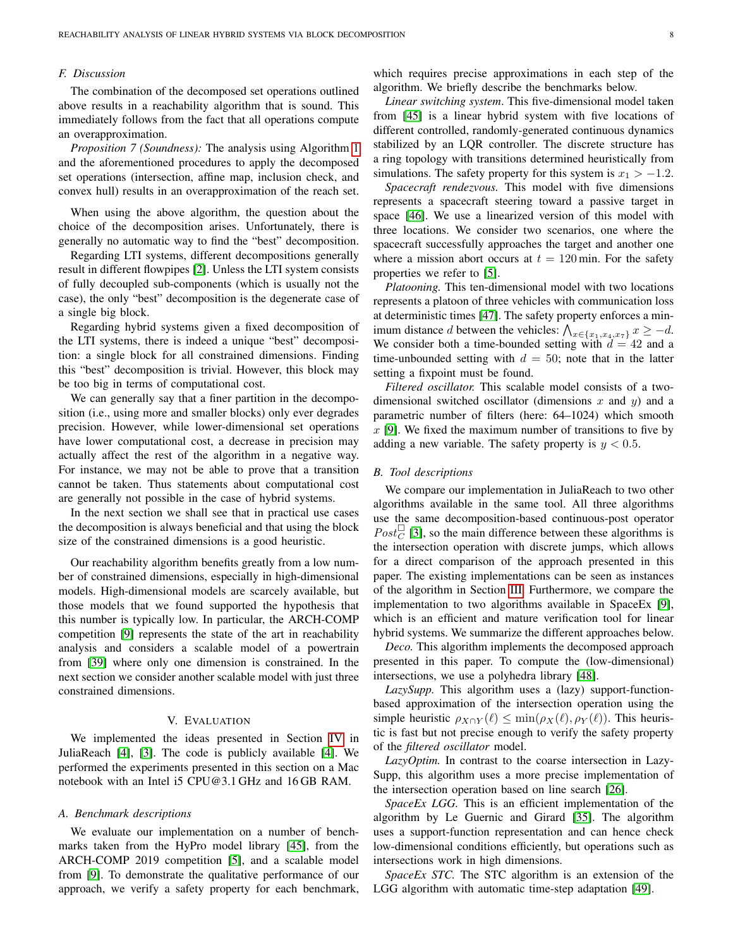# *F. Discussion*

The combination of the decomposed set operations outlined above results in a reachability algorithm that is sound. This immediately follows from the fact that all operations compute an overapproximation.

*Proposition 7 (Soundness):* The analysis using Algorithm [1](#page-4-0) and the aforementioned procedures to apply the decomposed set operations (intersection, affine map, inclusion check, and convex hull) results in an overapproximation of the reach set.

When using the above algorithm, the question about the choice of the decomposition arises. Unfortunately, there is generally no automatic way to find the "best" decomposition.

Regarding LTI systems, different decompositions generally result in different flowpipes [\[2\]](#page-10-1). Unless the LTI system consists of fully decoupled sub-components (which is usually not the case), the only "best" decomposition is the degenerate case of a single big block.

Regarding hybrid systems given a fixed decomposition of the LTI systems, there is indeed a unique "best" decomposition: a single block for all constrained dimensions. Finding this "best" decomposition is trivial. However, this block may be too big in terms of computational cost.

We can generally say that a finer partition in the decomposition (i.e., using more and smaller blocks) only ever degrades precision. However, while lower-dimensional set operations have lower computational cost, a decrease in precision may actually affect the rest of the algorithm in a negative way. For instance, we may not be able to prove that a transition cannot be taken. Thus statements about computational cost are generally not possible in the case of hybrid systems.

In the next section we shall see that in practical use cases the decomposition is always beneficial and that using the block size of the constrained dimensions is a good heuristic.

Our reachability algorithm benefits greatly from a low number of constrained dimensions, especially in high-dimensional models. High-dimensional models are scarcely available, but those models that we found supported the hypothesis that this number is typically low. In particular, the ARCH-COMP competition [\[9\]](#page-10-8) represents the state of the art in reachability analysis and considers a scalable model of a powertrain from [\[39\]](#page-11-1) where only one dimension is constrained. In the next section we consider another scalable model with just three constrained dimensions.

# V. EVALUATION

<span id="page-7-0"></span>We implemented the ideas presented in Section [IV](#page-3-0) in JuliaReach [\[4\]](#page-10-3), [\[3\]](#page-10-2). The code is publicly available [\[4\]](#page-10-3). We performed the experiments presented in this section on a Mac notebook with an Intel i5 CPU@3.1 GHz and 16 GB RAM.

## *A. Benchmark descriptions*

We evaluate our implementation on a number of benchmarks taken from the HyPro model library [\[45\]](#page-11-8), from the ARCH-COMP 2019 competition [\[5\]](#page-10-4), and a scalable model from [\[9\]](#page-10-8). To demonstrate the qualitative performance of our approach, we verify a safety property for each benchmark, which requires precise approximations in each step of the algorithm. We briefly describe the benchmarks below.

*Linear switching system*. This five-dimensional model taken from [\[45\]](#page-11-8) is a linear hybrid system with five locations of different controlled, randomly-generated continuous dynamics stabilized by an LQR controller. The discrete structure has a ring topology with transitions determined heuristically from simulations. The safety property for this system is  $x_1 > -1.2$ .

*Spacecraft rendezvous.* This model with five dimensions represents a spacecraft steering toward a passive target in space [\[46\]](#page-11-9). We use a linearized version of this model with three locations. We consider two scenarios, one where the spacecraft successfully approaches the target and another one where a mission abort occurs at  $t = 120$  min. For the safety properties we refer to [\[5\]](#page-10-4).

*Platooning.* This ten-dimensional model with two locations represents a platoon of three vehicles with communication loss at deterministic times [\[47\]](#page-11-10). The safety property enforces a minimum distance *d* between the vehicles:  $\bigwedge_{x \in \{x_1, x_4, x_7\}} x \ge -d$ . We consider both a time-bounded setting with  $d = 42$  and a time-unbounded setting with  $d = 50$ ; note that in the latter setting a fixpoint must be found.

*Filtered oscillator.* This scalable model consists of a twodimensional switched oscillator (dimensions  $x$  and  $y$ ) and a parametric number of filters (here: 64–1024) which smooth  $x$  [\[9\]](#page-10-8). We fixed the maximum number of transitions to five by adding a new variable. The safety property is  $y < 0.5$ .

## <span id="page-7-1"></span>*B. Tool descriptions*

We compare our implementation in JuliaReach to two other algorithms available in the same tool. All three algorithms use the same decomposition-based continuous-post operator  $Post_C^{\square}$  [\[3\]](#page-10-2), so the main difference between these algorithms is the intersection operation with discrete jumps, which allows for a direct comparison of the approach presented in this paper. The existing implementations can be seen as instances of the algorithm in Section [III.](#page-2-0) Furthermore, we compare the implementation to two algorithms available in SpaceEx [\[9\]](#page-10-8), which is an efficient and mature verification tool for linear hybrid systems. We summarize the different approaches below.

*Deco.* This algorithm implements the decomposed approach presented in this paper. To compute the (low-dimensional) intersections, we use a polyhedra library [\[48\]](#page-11-11).

*LazySupp.* This algorithm uses a (lazy) support-functionbased approximation of the intersection operation using the simple heuristic  $\rho_{X\cap Y}(\ell) \le \min(\rho_X(\ell), \rho_Y(\ell))$ . This heuristic is fast but not precise enough to verify the safety property of the *filtered oscillator* model.

*LazyOptim.* In contrast to the coarse intersection in Lazy-Supp, this algorithm uses a more precise implementation of the intersection operation based on line search [\[26\]](#page-10-25).

*SpaceEx LGG.* This is an efficient implementation of the algorithm by Le Guernic and Girard [\[35\]](#page-10-34). The algorithm uses a support-function representation and can hence check low-dimensional conditions efficiently, but operations such as intersections work in high dimensions.

*SpaceEx STC.* The STC algorithm is an extension of the LGG algorithm with automatic time-step adaptation [\[49\]](#page-11-12).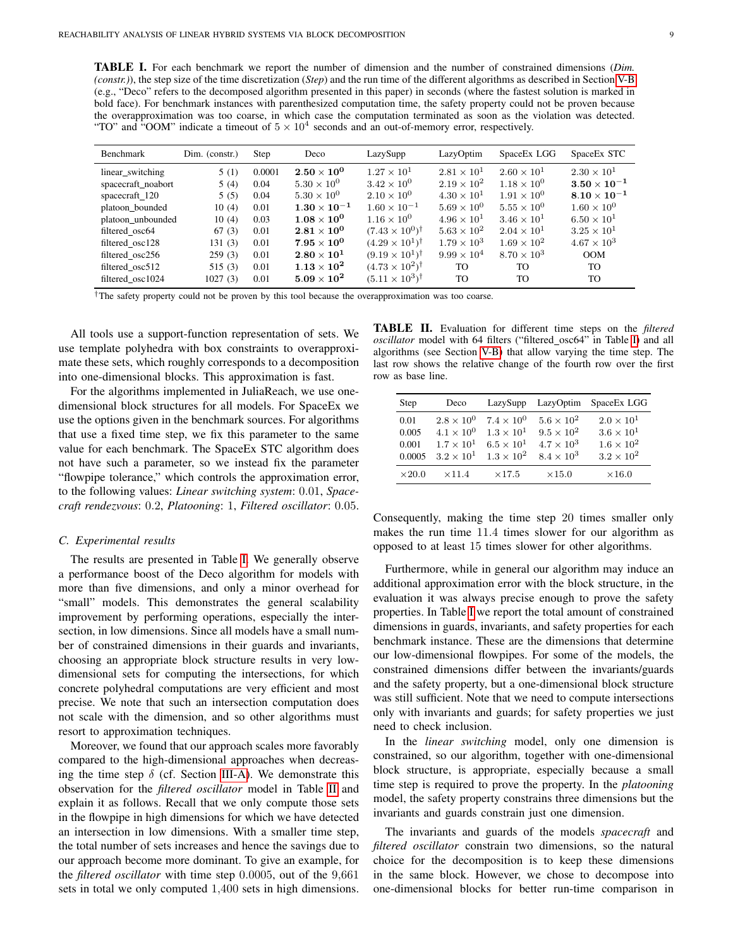<span id="page-8-0"></span>TABLE I. For each benchmark we report the number of dimension and the number of constrained dimensions (*Dim. (constr.)*), the step size of the time discretization (*Step*) and the run time of the different algorithms as described in Section [V-B](#page-7-1) (e.g., "Deco" refers to the decomposed algorithm presented in this paper) in seconds (where the fastest solution is marked in bold face). For benchmark instances with parenthesized computation time, the safety property could not be proven because the overapproximation was too coarse, in which case the computation terminated as soon as the violation was detected. "TO" and "OOM" indicate a timeout of  $5 \times 10^4$  seconds and an out-of-memory error, respectively.

| <b>Benchmark</b>   | Dim. (constr.) | Step   | Deco                 | LazySupp                         | LazyOptim            | SpaceEx LGG          | SpaceEx STC          |
|--------------------|----------------|--------|----------------------|----------------------------------|----------------------|----------------------|----------------------|
| linear_switching   | 5(1)           | 0.0001 | $2.50 \times 10^{0}$ | $1.27 \times 10^{1}$             | $2.81 \times 10^{1}$ | $2.60 \times 10^{1}$ | $2.30 \times 10^{1}$ |
| spacecraft_noabort | 5(4)           | 0.04   | $5.30 \times 10^{0}$ | $3.42 \times 10^{0}$             | $2.19 \times 10^{2}$ | $1.18 \times 10^{0}$ | $3.50\times10^{-1}$  |
| spacecraft 120     | 5(5)           | 0.04   | $5.30 \times 10^{0}$ | $2.10 \times 10^{0}$             | $4.30 \times 10^{1}$ | $1.91 \times 10^{0}$ | $8.10\times10^{-1}$  |
| platoon bounded    | 10(4)          | 0.01   | $1.30\times10^{-1}$  | $1.60 \times 10^{-1}$            | $5.69 \times 10^{0}$ | $5.55 \times 10^{0}$ | $1.60 \times 10^{0}$ |
| platoon unbounded  | 10(4)          | 0.03   | $1.08 \times 10^{0}$ | $1.16 \times 10^{0}$             | $4.96 \times 10^{1}$ | $3.46 \times 10^{1}$ | $6.50 \times 10^{1}$ |
| filtered osc64     | 67(3)          | 0.01   | $2.81\times10^{0}$   | $(7.43 \times 10^{0})^{\dagger}$ | $5.63 \times 10^{2}$ | $2.04 \times 10^{1}$ | $3.25 \times 10^{1}$ |
| filtered osc128    | 131(3)         | 0.01   | $7.95\times10^{0}$   | $(4.29 \times 10^{1})^{\dagger}$ | $1.79 \times 10^3$   | $1.69 \times 10^{2}$ | $4.67 \times 10^{3}$ |
| filtered osc256    | 259(3)         | 0.01   | $2.80\times10^{1}$   | $(9.19 \times 10^{1})^{\dagger}$ | $9.99 \times 10^{4}$ | $8.70 \times 10^{3}$ | <b>OOM</b>           |
| filtered osc512    | 515 (3)        | 0.01   | $1.13\times10^{2}$   | $(4.73 \times 10^{2})^{\dagger}$ | <b>TO</b>            | TO.                  | TO.                  |
| filtered osc1024   | 1027(3)        | 0.01   | $5.09 \times 10^{2}$ | $(5.11 \times 10^3)^{\dagger}$   | <b>TO</b>            | TO.                  | TO                   |

†The safety property could not be proven by this tool because the overapproximation was too coarse.

All tools use a support-function representation of sets. We use template polyhedra with box constraints to overapproximate these sets, which roughly corresponds to a decomposition into one-dimensional blocks. This approximation is fast.

For the algorithms implemented in JuliaReach, we use onedimensional block structures for all models. For SpaceEx we use the options given in the benchmark sources. For algorithms that use a fixed time step, we fix this parameter to the same value for each benchmark. The SpaceEx STC algorithm does not have such a parameter, so we instead fix the parameter "flowpipe tolerance," which controls the approximation error, to the following values: *Linear switching system*: 0.01, *Spacecraft rendezvous*: 0.2, *Platooning*: 1, *Filtered oscillator*: 0.05.

# *C. Experimental results*

The results are presented in Table [I.](#page-8-0) We generally observe a performance boost of the Deco algorithm for models with more than five dimensions, and only a minor overhead for "small" models. This demonstrates the general scalability improvement by performing operations, especially the intersection, in low dimensions. Since all models have a small number of constrained dimensions in their guards and invariants, choosing an appropriate block structure results in very lowdimensional sets for computing the intersections, for which concrete polyhedral computations are very efficient and most precise. We note that such an intersection computation does not scale with the dimension, and so other algorithms must resort to approximation techniques.

Moreover, we found that our approach scales more favorably compared to the high-dimensional approaches when decreasing the time step  $\delta$  (cf. Section [III-A\)](#page-2-5). We demonstrate this observation for the *filtered oscillator* model in Table [II](#page-8-1) and explain it as follows. Recall that we only compute those sets in the flowpipe in high dimensions for which we have detected an intersection in low dimensions. With a smaller time step, the total number of sets increases and hence the savings due to our approach become more dominant. To give an example, for the *filtered oscillator* with time step 0.0005, out of the 9,661 sets in total we only computed 1,400 sets in high dimensions.

<span id="page-8-1"></span>TABLE II. Evaluation for different time steps on the *filtered oscillator* model with 64 filters ("filtered\_osc64" in Table [I\)](#page-8-0) and all algorithms (see Section [V-B\)](#page-7-1) that allow varying the time step. The last row shows the relative change of the fourth row over the first row as base line.

| Step          | Deco                | LazySupp            | LazyOptim           | SpaceEx LGG         |
|---------------|---------------------|---------------------|---------------------|---------------------|
| 0.01          | $2.8 \times 10^{0}$ | $7.4 \times 10^{0}$ | $5.6 \times 10^2$   | $2.0 \times 10^{1}$ |
| 0.005         | $4.1 \times 10^{0}$ | $1.3 \times 10^{1}$ | $9.5 \times 10^{2}$ | $3.6 \times 10^{1}$ |
| 0.001         | $1.7 \times 10^{1}$ | $6.5 \times 10^{1}$ | $4.7 \times 10^3$   | $1.6 \times 10^{2}$ |
| 0.0005        | $3.2 \times 10^{1}$ | $1.3 \times 10^{2}$ | $8.4 \times 10^{3}$ | $3.2 \times 10^{2}$ |
| $\times 20.0$ | $\times$ 11.4       | $\times17.5$        | $\times15.0$        | $\times16.0$        |

Consequently, making the time step 20 times smaller only makes the run time 11.4 times slower for our algorithm as opposed to at least 15 times slower for other algorithms.

Furthermore, while in general our algorithm may induce an additional approximation error with the block structure, in the evaluation it was always precise enough to prove the safety properties. In Table [I](#page-8-0) we report the total amount of constrained dimensions in guards, invariants, and safety properties for each benchmark instance. These are the dimensions that determine our low-dimensional flowpipes. For some of the models, the constrained dimensions differ between the invariants/guards and the safety property, but a one-dimensional block structure was still sufficient. Note that we need to compute intersections only with invariants and guards; for safety properties we just need to check inclusion.

In the *linear switching* model, only one dimension is constrained, so our algorithm, together with one-dimensional block structure, is appropriate, especially because a small time step is required to prove the property. In the *platooning* model, the safety property constrains three dimensions but the invariants and guards constrain just one dimension.

The invariants and guards of the models *spacecraft* and *filtered oscillator* constrain two dimensions, so the natural choice for the decomposition is to keep these dimensions in the same block. However, we chose to decompose into one-dimensional blocks for better run-time comparison in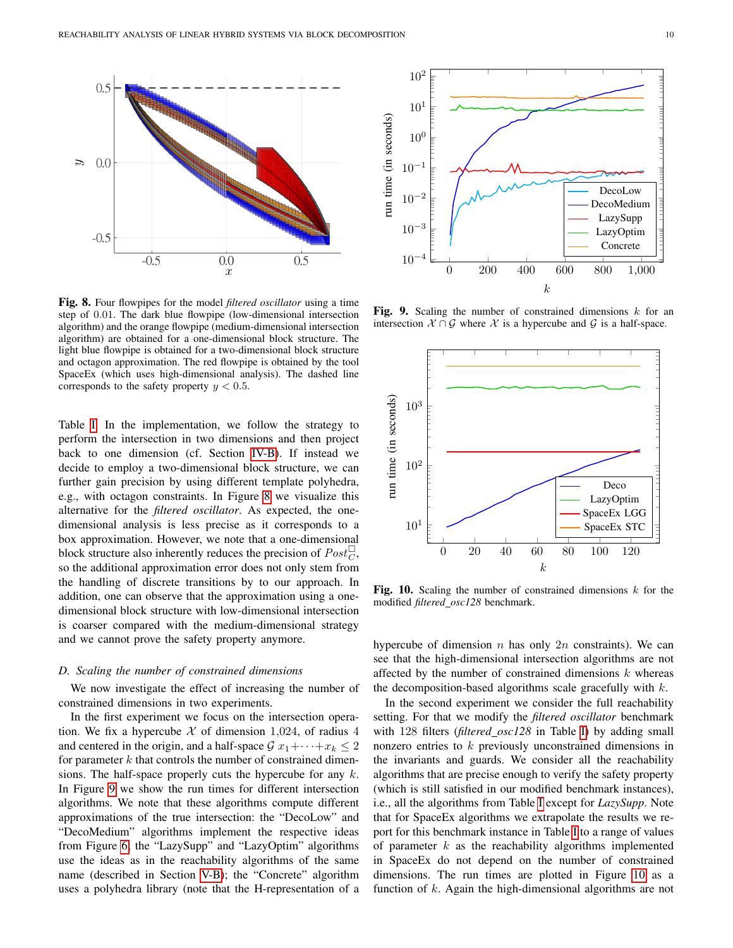<span id="page-9-0"></span>

Fig. 8. Four flowpipes for the model *filtered oscillator* using a time step of 0.01. The dark blue flowpipe (low-dimensional intersection algorithm) and the orange flowpipe (medium-dimensional intersection algorithm) are obtained for a one-dimensional block structure. The light blue flowpipe is obtained for a two-dimensional block structure and octagon approximation. The red flowpipe is obtained by the tool SpaceEx (which uses high-dimensional analysis). The dashed line corresponds to the safety property  $y < 0.5$ .

Table [I.](#page-8-0) In the implementation, we follow the strategy to perform the intersection in two dimensions and then project back to one dimension (cf. Section [IV-B\)](#page-4-5). If instead we decide to employ a two-dimensional block structure, we can further gain precision by using different template polyhedra, e.g., with octagon constraints. In Figure [8](#page-9-0) we visualize this alternative for the *filtered oscillator*. As expected, the onedimensional analysis is less precise as it corresponds to a box approximation. However, we note that a one-dimensional block structure also inherently reduces the precision of  $Post_C^{\square}$ , so the additional approximation error does not only stem from the handling of discrete transitions by to our approach. In addition, one can observe that the approximation using a onedimensional block structure with low-dimensional intersection is coarser compared with the medium-dimensional strategy and we cannot prove the safety property anymore.

# *D. Scaling the number of constrained dimensions*

We now investigate the effect of increasing the number of constrained dimensions in two experiments.

In the first experiment we focus on the intersection operation. We fix a hypercube  $X$  of dimension 1,024, of radius 4 and centered in the origin, and a half-space  $G x_1 + \cdots + x_k \leq 2$ for parameter  $k$  that controls the number of constrained dimensions. The half-space properly cuts the hypercube for any  $k$ . In Figure [9](#page-9-1) we show the run times for different intersection algorithms. We note that these algorithms compute different approximations of the true intersection: the "DecoLow" and "DecoMedium" algorithms implement the respective ideas from Figure [6;](#page-5-1) the "LazySupp" and "LazyOptim" algorithms use the ideas as in the reachability algorithms of the same name (described in Section [V-B\)](#page-7-1); the "Concrete" algorithm uses a polyhedra library (note that the H-representation of a

<span id="page-9-1"></span>

Fig. 9. Scaling the number of constrained dimensions  $k$  for an intersection  $X \cap G$  where X is a hypercube and G is a half-space.

<span id="page-9-2"></span>

Fig. 10. Scaling the number of constrained dimensions  $k$  for the modified *filtered osc128* benchmark.

hypercube of dimension  $n$  has only  $2n$  constraints). We can see that the high-dimensional intersection algorithms are not affected by the number of constrained dimensions  $k$  whereas the decomposition-based algorithms scale gracefully with  $k$ .

In the second experiment we consider the full reachability setting. For that we modify the *filtered oscillator* benchmark with 128 filters (*filtered osc128* in Table [I\)](#page-8-0) by adding small nonzero entries to k previously unconstrained dimensions in the invariants and guards. We consider all the reachability algorithms that are precise enough to verify the safety property (which is still satisfied in our modified benchmark instances), i.e., all the algorithms from Table [I](#page-8-0) except for *LazySupp*. Note that for SpaceEx algorithms we extrapolate the results we report for this benchmark instance in Table [I](#page-8-0) to a range of values of parameter  $k$  as the reachability algorithms implemented in SpaceEx do not depend on the number of constrained dimensions. The run times are plotted in Figure [10](#page-9-2) as a function of  $k$ . Again the high-dimensional algorithms are not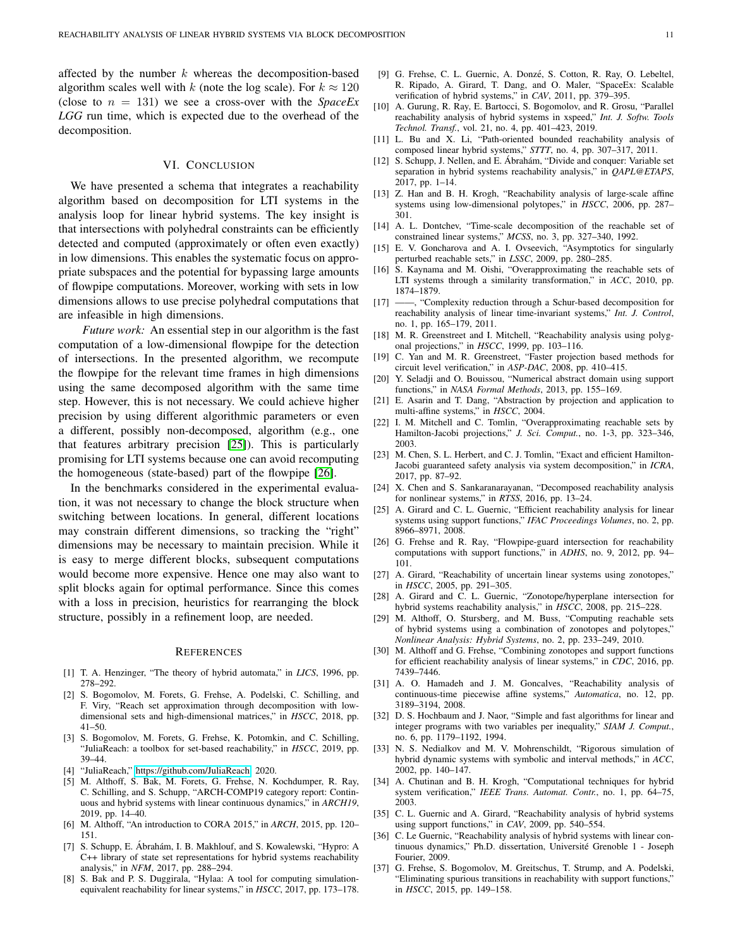affected by the number  $k$  whereas the decomposition-based algorithm scales well with k (note the log scale). For  $k \approx 120$ (close to  $n = 131$ ) we see a cross-over with the *SpaceEx LGG* run time, which is expected due to the overhead of the decomposition.

# VI. CONCLUSION

We have presented a schema that integrates a reachability algorithm based on decomposition for LTI systems in the analysis loop for linear hybrid systems. The key insight is that intersections with polyhedral constraints can be efficiently detected and computed (approximately or often even exactly) in low dimensions. This enables the systematic focus on appropriate subspaces and the potential for bypassing large amounts of flowpipe computations. Moreover, working with sets in low dimensions allows to use precise polyhedral computations that are infeasible in high dimensions.

*Future work:* An essential step in our algorithm is the fast computation of a low-dimensional flowpipe for the detection of intersections. In the presented algorithm, we recompute the flowpipe for the relevant time frames in high dimensions using the same decomposed algorithm with the same time step. However, this is not necessary. We could achieve higher precision by using different algorithmic parameters or even a different, possibly non-decomposed, algorithm (e.g., one that features arbitrary precision [\[25\]](#page-10-24)). This is particularly promising for LTI systems because one can avoid recomputing the homogeneous (state-based) part of the flowpipe [\[26\]](#page-10-25).

In the benchmarks considered in the experimental evaluation, it was not necessary to change the block structure when switching between locations. In general, different locations may constrain different dimensions, so tracking the "right" dimensions may be necessary to maintain precision. While it is easy to merge different blocks, subsequent computations would become more expensive. Hence one may also want to split blocks again for optimal performance. Since this comes with a loss in precision, heuristics for rearranging the block structure, possibly in a refinement loop, are needed.

## **REFERENCES**

- <span id="page-10-0"></span>[1] T. A. Henzinger, "The theory of hybrid automata," in *LICS*, 1996, pp. 278–292.
- <span id="page-10-1"></span>[2] S. Bogomolov, M. Forets, G. Frehse, A. Podelski, C. Schilling, and F. Viry, "Reach set approximation through decomposition with lowdimensional sets and high-dimensional matrices," in *HSCC*, 2018, pp.  $41 - 50.$
- <span id="page-10-2"></span>[3] S. Bogomolov, M. Forets, G. Frehse, K. Potomkin, and C. Schilling, "JuliaReach: a toolbox for set-based reachability," in *HSCC*, 2019, pp. 39–44.
- <span id="page-10-3"></span>[4] "JuliaReach," [https://github.com/JuliaReach,](https://github.com/JuliaReach) 2020.
- <span id="page-10-4"></span>[5] M. Althoff, S. Bak, M. Forets, G. Frehse, N. Kochdumper, R. Ray, C. Schilling, and S. Schupp, "ARCH-COMP19 category report: Continuous and hybrid systems with linear continuous dynamics," in *ARCH19*, 2019, pp. 14–40.
- <span id="page-10-5"></span>[6] M. Althoff, "An introduction to CORA 2015," in *ARCH*, 2015, pp. 120– 151.
- <span id="page-10-6"></span>[7] S. Schupp, E. Ábrahám, I. B. Makhlouf, and S. Kowalewski, "Hypro: A C++ library of state set representations for hybrid systems reachability analysis," in *NFM*, 2017, pp. 288–294.
- <span id="page-10-7"></span>[8] S. Bak and P. S. Duggirala, "Hylaa: A tool for computing simulationequivalent reachability for linear systems," in *HSCC*, 2017, pp. 173–178.
- <span id="page-10-8"></span>[9] G. Frehse, C. L. Guernic, A. Donzé, S. Cotton, R. Ray, O. Lebeltel, R. Ripado, A. Girard, T. Dang, and O. Maler, "SpaceEx: Scalable verification of hybrid systems," in *CAV*, 2011, pp. 379–395.
- <span id="page-10-9"></span>[10] A. Gurung, R. Ray, E. Bartocci, S. Bogomolov, and R. Grosu, "Parallel reachability analysis of hybrid systems in xspeed," *Int. J. Softw. Tools Technol. Transf.*, vol. 21, no. 4, pp. 401–423, 2019.
- <span id="page-10-10"></span>[11] L. Bu and X. Li, "Path-oriented bounded reachability analysis of composed linear hybrid systems," *STTT*, no. 4, pp. 307–317, 2011.
- <span id="page-10-11"></span>[12] S. Schupp, J. Nellen, and E. Ábrahám, "Divide and conquer: Variable set separation in hybrid systems reachability analysis," in *QAPL@ETAPS*, 2017, pp. 1–14.
- <span id="page-10-12"></span>[13] Z. Han and B. H. Krogh, "Reachability analysis of large-scale affine systems using low-dimensional polytopes," in *HSCC*, 2006, pp. 287– 301.
- <span id="page-10-13"></span>[14] A. L. Dontchev, "Time-scale decomposition of the reachable set of constrained linear systems," *MCSS*, no. 3, pp. 327–340, 1992.
- <span id="page-10-14"></span>[15] E. V. Goncharova and A. I. Ovseevich, "Asymptotics for singularly perturbed reachable sets," in *LSSC*, 2009, pp. 280–285.
- <span id="page-10-15"></span>[16] S. Kaynama and M. Oishi, "Overapproximating the reachable sets of LTI systems through a similarity transformation," in *ACC*, 2010, pp. 1874–1879.
- <span id="page-10-16"></span>[17] ——, "Complexity reduction through a Schur-based decomposition for reachability analysis of linear time-invariant systems," *Int. J. Control*, no. 1, pp. 165–179, 2011.
- <span id="page-10-17"></span>[18] M. R. Greenstreet and I. Mitchell, "Reachability analysis using polygonal projections," in *HSCC*, 1999, pp. 103–116.
- <span id="page-10-18"></span>[19] C. Yan and M. R. Greenstreet, "Faster projection based methods for circuit level verification," in *ASP-DAC*, 2008, pp. 410–415.
- <span id="page-10-19"></span>[20] Y. Seladji and O. Bouissou, "Numerical abstract domain using support functions," in *NASA Formal Methods*, 2013, pp. 155–169.
- <span id="page-10-20"></span>[21] E. Asarin and T. Dang, "Abstraction by projection and application to multi-affine systems," in *HSCC*, 2004.
- <span id="page-10-21"></span>[22] I. M. Mitchell and C. Tomlin, "Overapproximating reachable sets by Hamilton-Jacobi projections," *J. Sci. Comput.*, no. 1-3, pp. 323–346, 2003.
- <span id="page-10-22"></span>[23] M. Chen, S. L. Herbert, and C. J. Tomlin, "Exact and efficient Hamilton-Jacobi guaranteed safety analysis via system decomposition," in *ICRA*, 2017, pp. 87–92.
- <span id="page-10-23"></span>[24] X. Chen and S. Sankaranarayanan, "Decomposed reachability analysis for nonlinear systems," in *RTSS*, 2016, pp. 13–24.
- <span id="page-10-24"></span>[25] A. Girard and C. L. Guernic, "Efficient reachability analysis for linear systems using support functions," *IFAC Proceedings Volumes*, no. 2, pp. 8966–8971, 2008.
- <span id="page-10-25"></span>[26] G. Frehse and R. Ray, "Flowpipe-guard intersection for reachability computations with support functions," in *ADHS*, no. 9, 2012, pp. 94– 101.
- <span id="page-10-26"></span>[27] A. Girard, "Reachability of uncertain linear systems using zonotopes," in *HSCC*, 2005, pp. 291–305.
- <span id="page-10-27"></span>[28] A. Girard and C. L. Guernic, "Zonotope/hyperplane intersection for hybrid systems reachability analysis," in *HSCC*, 2008, pp. 215–228.
- <span id="page-10-28"></span>[29] M. Althoff, O. Stursberg, and M. Buss, "Computing reachable sets of hybrid systems using a combination of zonotopes and polytopes," *Nonlinear Analysis: Hybrid Systems*, no. 2, pp. 233–249, 2010.
- <span id="page-10-29"></span>[30] M. Althoff and G. Frehse, "Combining zonotopes and support functions for efficient reachability analysis of linear systems," in *CDC*, 2016, pp. 7439–7446.
- <span id="page-10-30"></span>[31] A. O. Hamadeh and J. M. Goncalves, "Reachability analysis of continuous-time piecewise affine systems," *Automatica*, no. 12, pp. 3189–3194, 2008.
- <span id="page-10-31"></span>[32] D. S. Hochbaum and J. Naor, "Simple and fast algorithms for linear and integer programs with two variables per inequality," *SIAM J. Comput.*, no. 6, pp. 1179–1192, 1994.
- <span id="page-10-32"></span>[33] N. S. Nedialkov and M. V. Mohrenschildt, "Rigorous simulation of hybrid dynamic systems with symbolic and interval methods," in *ACC*, 2002, pp. 140–147.
- <span id="page-10-33"></span>[34] A. Chutinan and B. H. Krogh, "Computational techniques for hybrid system verification," *IEEE Trans. Automat. Contr.*, no. 1, pp. 64–75, 2003.
- <span id="page-10-34"></span>[35] C. L. Guernic and A. Girard, "Reachability analysis of hybrid systems using support functions," in *CAV*, 2009, pp. 540–554.
- <span id="page-10-35"></span>[36] C. Le Guernic, "Reachability analysis of hybrid systems with linear continuous dynamics," Ph.D. dissertation, Université Grenoble 1 - Joseph Fourier, 2009.
- <span id="page-10-36"></span>[37] G. Frehse, S. Bogomolov, M. Greitschus, T. Strump, and A. Podelski, "Eliminating spurious transitions in reachability with support functions," in *HSCC*, 2015, pp. 149–158.